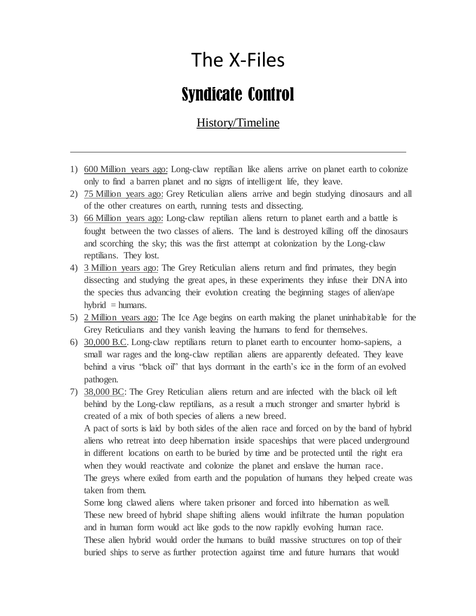## The X-Files

## Syndicate Control

## History/Timeline

- 1) 600 Million years ago: Long-claw reptilian like aliens arrive on planet earth to colonize only to find a barren planet and no signs of intelligent life, they leave.
- 2) 75 Million years ago: Grey Reticulian aliens arrive and begin studying dinosaurs and all of the other creatures on earth, running tests and dissecting.
- 3) 66 Million years ago: Long-claw reptilian aliens return to planet earth and a battle is fought between the two classes of aliens. The land is destroyed killing off the dinosaurs and scorching the sky; this was the first attempt at colonization by the Long-claw reptilians. They lost.
- 4) 3 Million years ago: The Grey Reticulian aliens return and find primates, they begin dissecting and studying the great apes, in these experiments they infuse their DNA into the species thus advancing their evolution creating the beginning stages of alien/ape hybrid  $=$  humans.
- 5) 2 Million years ago: The Ice Age begins on earth making the planet uninhabitable for the Grey Reticulians and they vanish leaving the humans to fend for themselves.
- 6) 30,000 B.C. Long-claw reptilians return to planet earth to encounter homo-sapiens, a small war rages and the long-claw reptilian aliens are apparently defeated. They leave behind a virus "black oil" that lays dormant in the earth's ice in the form of an evolved pathogen.

7) 38,000 BC: The Grey Reticulian aliens return and are infected with the black oil left behind by the Long-claw reptilians, as a result a much stronger and smarter hybrid is created of a mix of both species of aliens a new breed.

A pact of sorts is laid by both sides of the alien race and forced on by the band of hybrid aliens who retreat into deep hibernation inside spaceships that were placed underground in different locations on earth to be buried by time and be protected until the right era when they would reactivate and colonize the planet and enslave the human race. The greys where exiled from earth and the population of humans they helped create was taken from them.

Some long clawed aliens where taken prisoner and forced into hibernation as well. These new breed of hybrid shape shifting aliens would infiltrate the human population and in human form would act like gods to the now rapidly evolving human race. These alien hybrid would order the humans to build massive structures on top of their buried ships to serve as further protection against time and future humans that would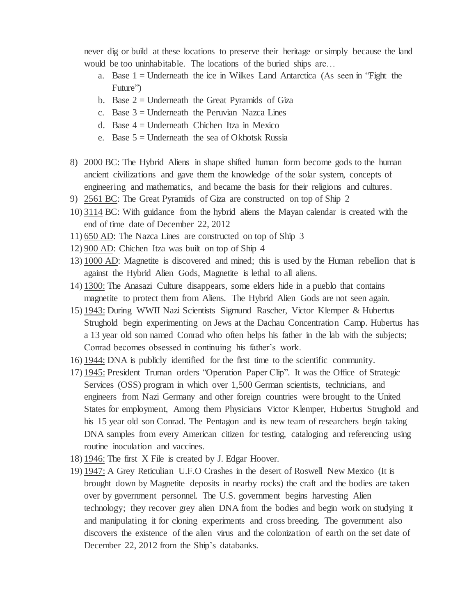never dig or build at these locations to preserve their heritage or simply because the land would be too uninhabitable. The locations of the buried ships are…

- a. Base  $1 =$  Underneath the ice in Wilkes Land Antarctica (As seen in "Fight the Future")
- b. Base  $2 =$  Underneath the Great Pyramids of Giza
- c. Base  $3 =$  Underneath the Peruvian Nazca Lines
- d. Base  $4 =$  Underneath Chichen Itza in Mexico
- e. Base  $5 =$  Underneath the sea of Okhotsk Russia
- 8) 2000 BC: The Hybrid Aliens in shape shifted human form become gods to the human ancient civilizations and gave them the knowledge of the solar system, concepts of engineering and mathematics, and became the basis for their religions and cultures.
- 9) 2561 BC: The Great Pyramids of Giza are constructed on top of Ship 2
- 10) 3114 BC: With guidance from the hybrid aliens the Mayan calendar is created with the end of time date of December 22, 2012
- 11) 650 AD: The Nazca Lines are constructed on top of Ship 3
- 12) 900 AD: Chichen Itza was built on top of Ship 4
- 13) 1000 AD: Magnetite is discovered and mined; this is used by the Human rebellion that is against the Hybrid Alien Gods, Magnetite is lethal to all aliens.
- 14) 1300: The Anasazi Culture disappears, some elders hide in a pueblo that contains magnetite to protect them from Aliens. The Hybrid Alien Gods are not seen again.
- 15) 1943: During WWII Nazi Scientists Sigmund Rascher, Victor Klemper & Hubertus Strughold begin experimenting on Jews at the Dachau Concentration Camp. Hubertus has a 13 year old son named Conrad who often helps his father in the lab with the subjects; Conrad becomes obsessed in continuing his father's work.
- 16) 1944: DNA is publicly identified for the first time to the scientific community.
- 17) 1945: President Truman orders "Operation Paper Clip". It was the Office of Strategic Services (OSS) program in which over 1,500 German scientists, technicians, and engineers from Nazi Germany and other foreign countries were brought to the United States for employment, Among them Physicians Victor Klemper, Hubertus Strughold and his 15 year old son Conrad. The Pentagon and its new team of researchers begin taking DNA samples from every American citizen for testing, cataloging and referencing using routine inoculation and vaccines.
- 18) 1946: The first X File is created by J. Edgar Hoover.
- 19) 1947: A Grey Reticulian U.F.O Crashes in the desert of Roswell New Mexico (It is brought down by Magnetite deposits in nearby rocks) the craft and the bodies are taken over by government personnel. The U.S. government begins harvesting Alien technology; they recover grey alien DNA from the bodies and begin work on studying it and manipulating it for cloning experiments and cross breeding. The government also discovers the existence of the alien virus and the colonization of earth on the set date of December 22, 2012 from the Ship's databanks.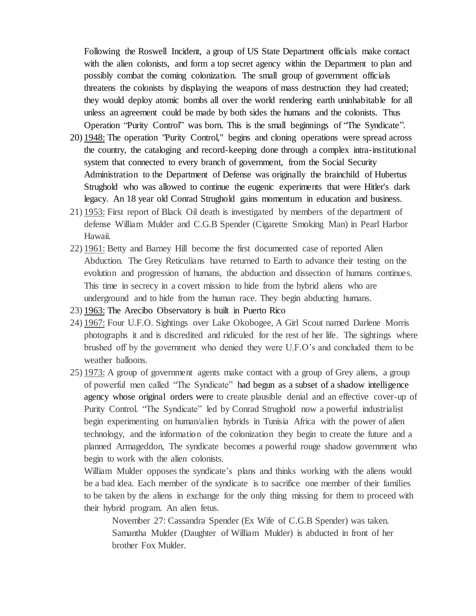Following the Roswell Incident, a group of US State Department officials make contact with the alien colonists, and form a top secret agency within the Department to plan and possibly combat the coming colonization. The small group of government officials threatens the colonists by displaying the weapons of mass destruction they had created; they would deploy atomic bombs all over the world rendering earth uninhabitable for all unless an agreement could be made by both sides the humans and the colonists. Thus Operation "Purity Control" was born. This is the small beginnings of "The Syndicate".

- 20) 1948: The operation "Purity Control," begins and cloning operations were spread across the country, the cataloging and record-keeping done through a complex intra-institutional system that connected to every branch of government, from the Social Security Administration to the Department of Defense was originally the brainchild of Hubertus Strughold who was allowed to continue the eugenic experiments that were Hitler's dark legacy. An 18 year old Conrad Strughold gains momentum in education and business.
- 21) 1953: First report of Black Oil death is investigated by members of the department of defense William Mulder and C.G.B Spender (Cigarette Smoking Man) in Pearl Harbor Hawaii.
- 22) 1961: Betty and Barney Hill become the first documented case of reported Alien Abduction. The Grey Reticulians have returned to Earth to advance their testing on the evolution and progression of humans, the abduction and dissection of humans continues. This time in secrecy in a covert mission to hide from the hybrid aliens who are underground and to hide from the human race. They begin abducting humans.
- 23) 1963: The Arecibo Observatory is built in Puerto Rico
- 24) 1967: Four U.F.O. Sightings over Lake Okobogee, A Girl Scout named Darlene Morris photographs it and is discredited and ridiculed for the rest of her life. The sightings where brushed off by the government who denied they were U.F.O's and concluded them to be weather balloons.
- 25) 1973: A group of government agents make contact with a group of Grey aliens, a group of powerful men called "The Syndicate" had begun as a subset of a shadow intelligence agency whose original orders were to create plausible denial and an effective cover-up of Purity Control. "The Syndicate" led by Conrad Strughold now a powerful industrialist begin experimenting on human/alien hybrids in Tunisia Africa with the power of alien technology, and the information of the colonization they begin to create the future and a planned Armageddon, The syndicate becomes a powerful rouge shadow government who begin to work with the alien colonists.

William Mulder opposes the syndicate's plans and thinks working with the aliens would be a bad idea. Each member of the syndicate is to sacrifice one member of their families to be taken by the aliens in exchange for the only thing missing for them to proceed with their hybrid program. An alien fetus.

November 27: Cassandra Spender (Ex Wife of C.G.B Spender) was taken. Samantha Mulder (Daughter of William Mulder) is abducted in front of her brother Fox Mulder.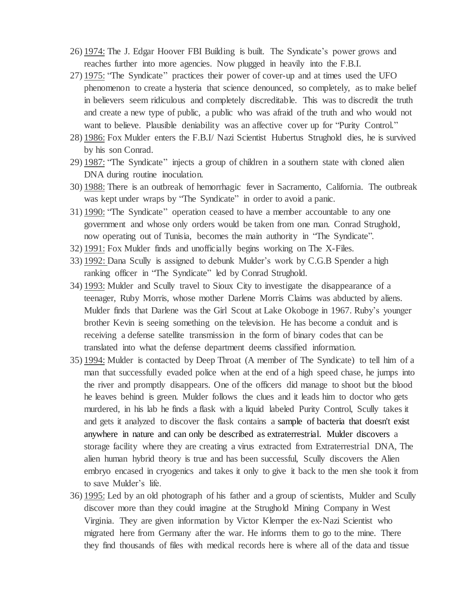- 26) 1974: The J. Edgar Hoover FBI Building is built. The Syndicate's power grows and reaches further into more agencies. Now plugged in heavily into the F.B.I.
- 27) 1975: "The Syndicate" practices their power of cover-up and at times used the UFO phenomenon to create a hysteria that science denounced, so completely, as to make belief in believers seem ridiculous and completely discreditable. This was to discredit the truth and create a new type of public, a public who was afraid of the truth and who would not want to believe. Plausible deniability was an affective cover up for "Purity Control."
- 28) 1986: Fox Mulder enters the F.B.I/ Nazi Scientist Hubertus Strughold dies, he is survived by his son Conrad.
- 29) 1987: "The Syndicate" injects a group of children in a southern state with cloned alien DNA during routine inoculation.
- 30) 1988: There is an outbreak of hemorrhagic fever in Sacramento, California. The outbreak was kept under wraps by "The Syndicate" in order to avoid a panic.
- 31) 1990: "The Syndicate" operation ceased to have a member accountable to any one government and whose only orders would be taken from one man. Conrad Strughold, now operating out of Tunisia, becomes the main authority in "The Syndicate".
- 32) 1991: Fox Mulder finds and unofficially begins working on The X-Files.
- 33) 1992: Dana Scully is assigned to debunk Mulder's work by C.G.B Spender a high ranking officer in "The Syndicate" led by Conrad Strughold.
- 34) 1993: Mulder and Scully travel to Sioux City to investigate the disappearance of a teenager, Ruby Morris, whose mother Darlene Morris Claims was abducted by aliens. Mulder finds that Darlene was the Girl Scout at Lake Okoboge in 1967. Ruby's younger brother Kevin is seeing something on the television. He has become a conduit and is receiving a defense satellite transmission in the form of binary codes that can be translated into what the defense department deems classified information.
- 35) 1994: Mulder is contacted by Deep Throat (A member of The Syndicate) to tell him of a man that successfully evaded police when at the end of a high speed chase, he jumps into the river and promptly disappears. One of the officers did manage to shoot but the blood he leaves behind is green. Mulder follows the clues and it leads him to doctor who gets murdered, in his lab he finds a flask with a liquid labeled Purity Control, Scully takes it and gets it analyzed to discover the flask contains a sample of bacteria that doesn't exist anywhere in nature and can only be described as extraterrestrial. Mulder discovers a storage facility where they are creating a virus extracted from Extraterrestrial DNA, The alien human hybrid theory is true and has been successful, Scully discovers the Alien embryo encased in cryogenics and takes it only to give it back to the men she took it from to save Mulder's life.
- 36) 1995: Led by an old photograph of his father and a group of scientists, Mulder and Scully discover more than they could imagine at the Strughold Mining Company in West Virginia. They are given information by Victor Klemper the ex-Nazi Scientist who migrated here from Germany after the war. He informs them to go to the mine. There they find thousands of files with medical records here is where all of the data and tissue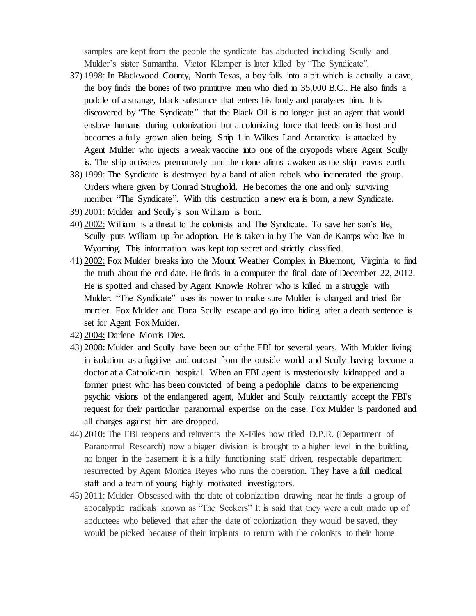samples are kept from the people the syndicate has abducted including Scully and Mulder's sister Samantha. Victor Klemper is later killed by "The Syndicate".

- 37) 1998: In Blackwood County, North Texas, a boy falls into a pit which is actually a cave, the boy finds the bones of two primitive men who died in 35,000 B.C.. He also finds a puddle of a strange, black substance that enters his body and paralyses him. It is discovered by "The Syndicate" that the Black Oil is no longer just an agent that would enslave humans during colonization but a colonizing force that feeds on its host and becomes a fully grown alien being. Ship 1 in Wilkes Land Antarctica is attacked by Agent Mulder who injects a weak vaccine into one of the cryopods where Agent Scully is. The ship activates prematurely and the clone aliens awaken as the ship leaves earth.
- 38) 1999: The Syndicate is destroyed by a band of alien rebels who incinerated the group. Orders where given by Conrad Strughold. He becomes the one and only surviving member "The Syndicate". With this destruction a new era is born, a new Syndicate.
- 39) 2001: Mulder and Scully's son William is born.
- 40) 2002: William is a threat to the colonists and The Syndicate. To save her son's life, Scully puts William up for adoption. He is taken in by The Van de Kamps who live in Wyoming. This information was kept top secret and strictly classified.
- 41) 2002: Fox Mulder breaks into the Mount Weather Complex in [Bluemont,](http://x-files.wikia.com/wiki/Bluemont?action=edit&redlink=1) [Virginia](http://x-files.wikia.com/wiki/Virginia) to find the truth about the end date. He finds in a computer the final date of December 22, 2012. He is spotted and chased by Agent Knowle Rohrer who is killed in a struggle with Mulder. "The Syndicate" uses its power to make sure Mulder is charged and tried for murder. Fox Mulder and Dana Scully escape and go into hiding after a death sentence is set for Agent Fox Mulder.
- 42) 2004: Darlene Morris Dies.
- 43) 2008: Mulder and Scully have been out of the FBI for several years. With Mulder living in isolation as a fugitive and outcast from the outside world and Scully having become a doctor at a Catholic-run hospital. When an FBI agent is mysteriously kidnapped and a former priest who has been convicted of being a pedophile claims to be experiencing psychic visions of the endangered agent, Mulder and Scully reluctantly accept the FBI's request for their particular paranormal expertise on the case. Fox Mulder is pardoned and all charges against him are dropped.
- 44) 2010: The FBI reopens and reinvents the X-Files now titled D.P.R. (Department of Paranormal Research) now a bigger division is brought to a higher level in the building, no longer in the basement it is a fully functioning staff driven, respectable department resurrected by Agent Monica Reyes who runs the operation. They have a full medical staff and a team of young highly motivated investigators.
- 45) 2011: Mulder Obsessed with the date of colonization drawing near he finds a group of apocalyptic radicals known as "The Seekers" It is said that they were a cult made up of abductees who believed that after the date of colonization they would be saved, they would be picked because of their implants to return with the colonists to their home